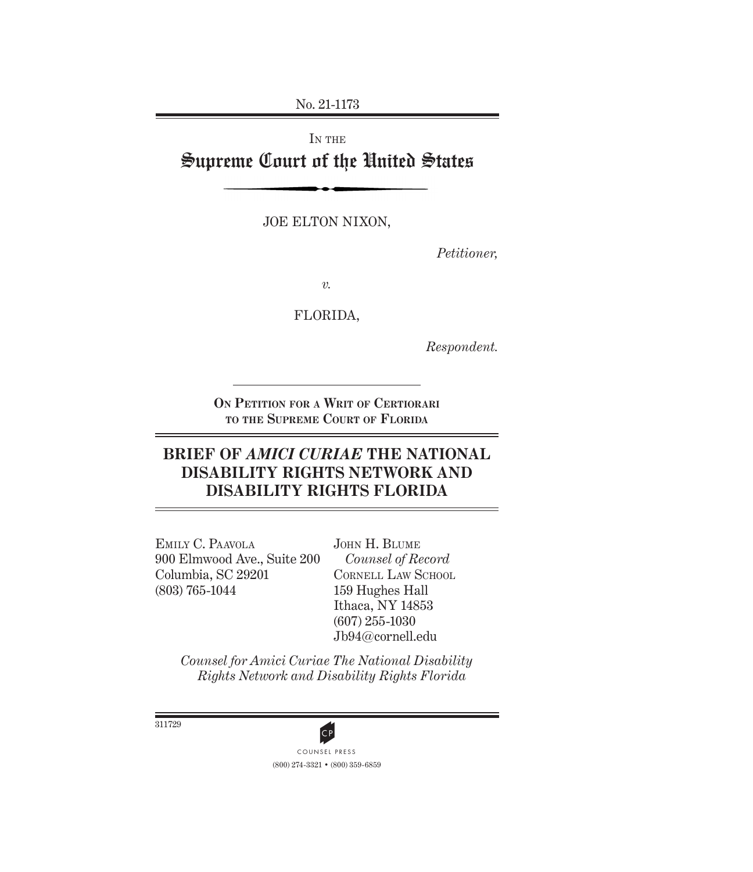No. 21-1173

# IN THE Supreme Court of the United States

JOE ELTON NIXON,

*Petitioner,*

*v.*

FLORIDA,

*Respondent.*

**On Petition for a Writ of Certiorari to the Supreme Court of Florida**

# **BRIEF OF** *AMICI CURIAE* **THE NATIONAL DISABILITY RIGHTS NETWORK AND DISABILITY RIGHTS FLORIDA**

Emily C. Paavola 900 Elmwood Ave., Suite 200 Columbia, SC 29201 (803) 765-1044

John H. Blume *Counsel of Record* CORNELL LAW SCHOOL 159 Hughes Hall Ithaca, NY 14853 (607) 255-1030 Jb94@cornell.edu

*Counsel for Amici Curiae The National Disability Rights Network and Disability Rights Florida*



(800) 274-3321 • (800) 359-6859

311729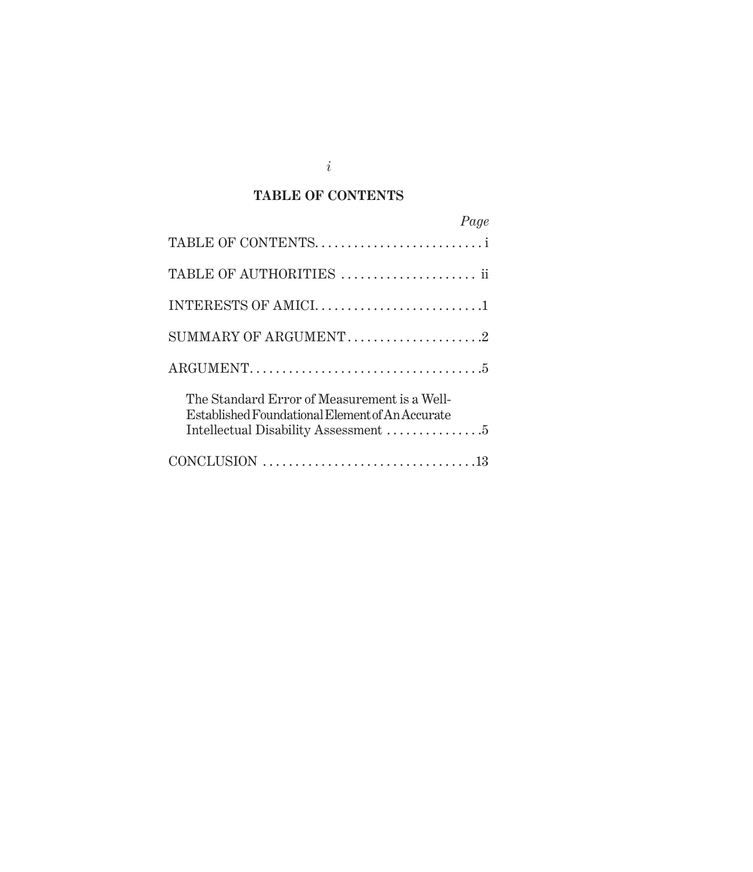# *i*

## **TABLE OF CONTENTS**

| Page                                                                                            |
|-------------------------------------------------------------------------------------------------|
|                                                                                                 |
| TABLE OF AUTHORITIES  ii                                                                        |
|                                                                                                 |
| SUMMARY OF ARGUMENT2                                                                            |
|                                                                                                 |
| The Standard Error of Measurement is a Well-<br>Established Foundational Element of An Accurate |
|                                                                                                 |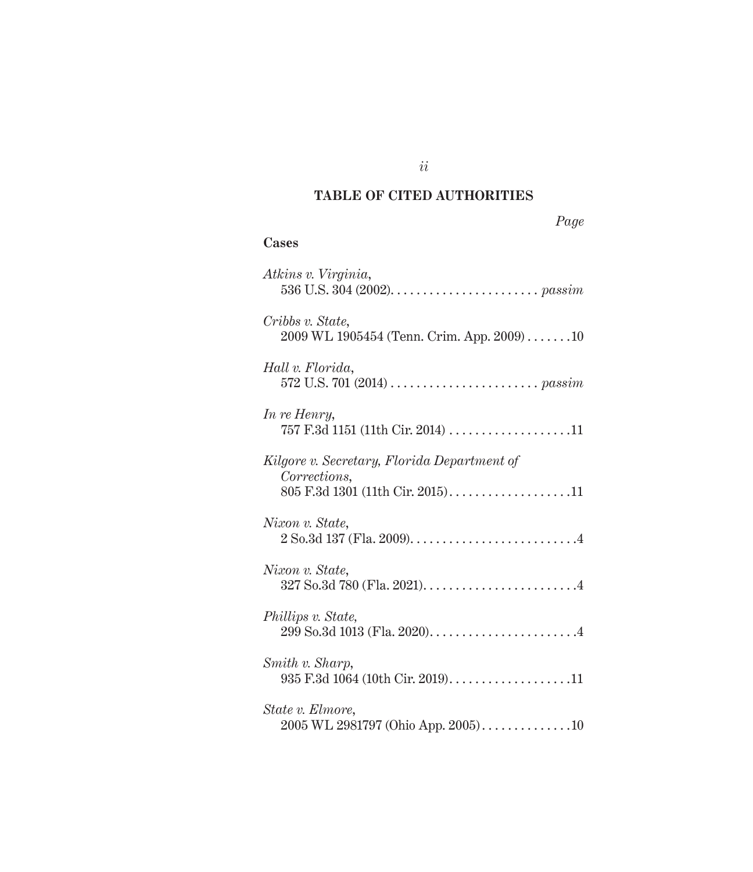## **TABLE OF CITED AUTHORITIES**

| Page |
|------|
|------|

### **Cases**

| Atkins v. Virginia,                                                                             |
|-------------------------------------------------------------------------------------------------|
| Cribbs v. State,<br>2009 WL 1905454 (Tenn. Crim. App. 2009)10                                   |
| Hall v. Florida,                                                                                |
| In re Henry,<br>757 F.3d 1151 (11th Cir. 2014) 11                                               |
| Kilgore v. Secretary, Florida Department of<br>Corrections,<br>805 F.3d 1301 (11th Cir. 2015)11 |
| Nixon v. State,                                                                                 |
| Nixon v. State,                                                                                 |
| Phillips v. State,                                                                              |
| Smith v. Sharp,<br>935 F.3d 1064 (10th Cir. 2019)11                                             |
| State v. Elmore,<br>$2005$ WL 2981797 (Ohio App. 2005)10                                        |

*ii*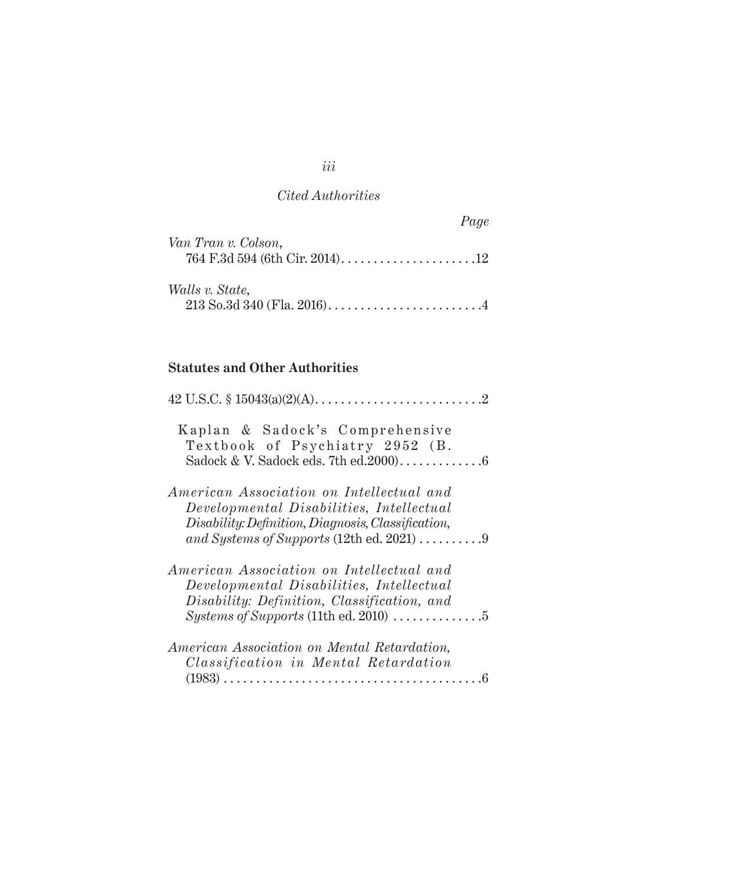|                     | Page |
|---------------------|------|
| Van Tran v. Colson, |      |
|                     |      |
| Walls v. State,     |      |
|                     |      |

## **Statutes and Other Authorities**

| Kaplan & Sadock's Comprehensive<br>Textbook of Psychiatry 2952 (B.                                                                                                   |
|----------------------------------------------------------------------------------------------------------------------------------------------------------------------|
| American Association on Intellectual and<br>Developmental Disabilities, Intellectual                                                                                 |
| Disability: Definition, Diagnosis, Classification,<br>and Systems of Supports (12th ed. 2021) $\dots \dots \dots$                                                    |
| American Association on Intellectual and<br>Developmental Disabilities, Intellectual<br>Disability: Definition, Classification, and                                  |
| <i>Systems of Supports</i> (11th ed. 2010) $\dots\dots\dots\dots\dots$<br>American Association on Mental Retardation,<br><i>Classification in Mental Retardation</i> |
|                                                                                                                                                                      |

*iii*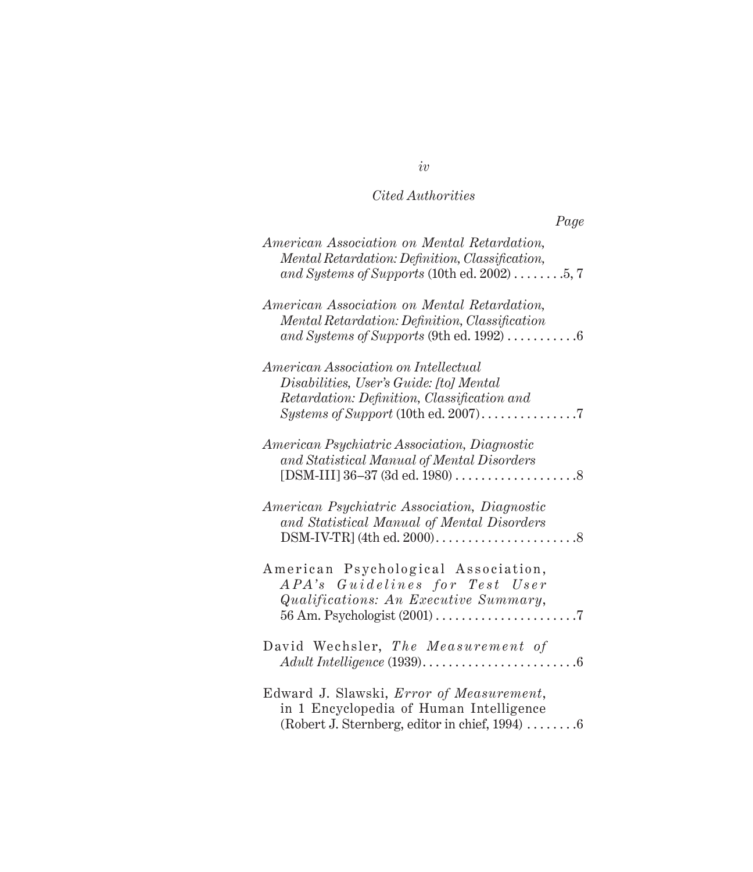| Page                                                                                                                                                                                                 |
|------------------------------------------------------------------------------------------------------------------------------------------------------------------------------------------------------|
| American Association on Mental Retardation,<br>Mental Retardation: Definition, Classification,<br>and Systems of Supports (10th ed. 2002) $\dots \dots 5, 7$                                         |
| American Association on Mental Retardation,<br>Mental Retardation: Definition, Classification<br>and Systems of Supports (9th ed. 1992) $\dots\dots\dots\dots$                                       |
| American Association on Intellectual<br>Disabilities, User's Guide: [to] Mental<br>Retardation: Definition, Classification and<br>$Systems of Support (10th ed. 2007) \dots \dots \dots \dots \dots$ |
| <i>American Psychiatric Association, Diagnostic</i><br>and Statistical Manual of Mental Disorders                                                                                                    |
| American Psychiatric Association, Diagnostic<br>and Statistical Manual of Mental Disorders                                                                                                           |
| American Psychological Association,<br><i>APA's</i> Guidelines for Test User<br>Qualifications: An Executive Summary,                                                                                |
| David Wechsler, The Measurement of<br>$Adult$ Intelligence (1939)<br>$\ldots 6$                                                                                                                      |
| Edward J. Slawski, Error of Measurement,<br>in 1 Encyclopedia of Human Intelligence<br>(Robert J. Sternberg, editor in chief, 1994) 6                                                                |

*iv*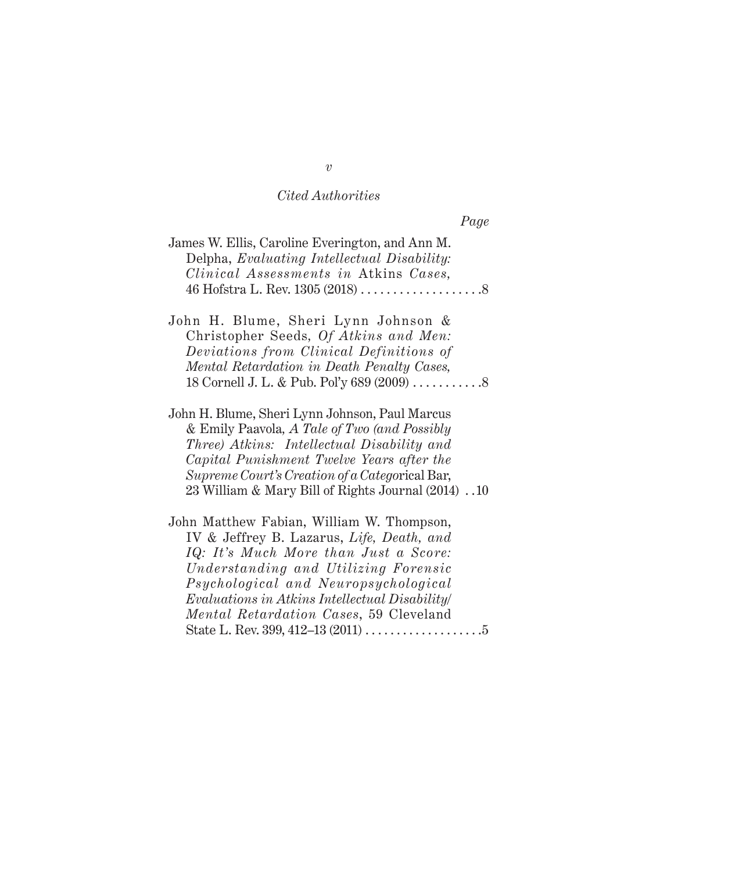|                                                                                                                                                                                                                                                                                                   | Page |
|---------------------------------------------------------------------------------------------------------------------------------------------------------------------------------------------------------------------------------------------------------------------------------------------------|------|
| James W. Ellis, Caroline Everington, and Ann M.<br>Delpha, Evaluating Intellectual Disability:<br>Clinical Assessments in Atkins Cases,                                                                                                                                                           |      |
| John H. Blume, Sheri Lynn Johnson &<br>Christopher Seeds, Of Atkins and Men:<br>Deviations from Clinical Definitions of<br>Mental Retardation in Death Penalty Cases,                                                                                                                             |      |
| John H. Blume, Sheri Lynn Johnson, Paul Marcus<br>& Emily Paavola, A Tale of Two (and Possibly<br>Three) Atkins: Intellectual Disability and<br>Capital Punishment Twelve Years after the<br>Supreme Court's Creation of a Categorical Bar,<br>23 William & Mary Bill of Rights Journal (2014) 10 |      |

John Matthew Fabian, William W. Thompson, IV & Jeffrey B. Lazarus, *Life, Death, and IQ: It's Much More than Just a Score: Understanding and Utilizing Forensic Psychological and Neuropsychological Evaluations in Atkins Intellectual Disability/ Mental Retardation Cases*, 59 Cleveland State L. Rev. 399, 412–13 (2011) . 5

*v*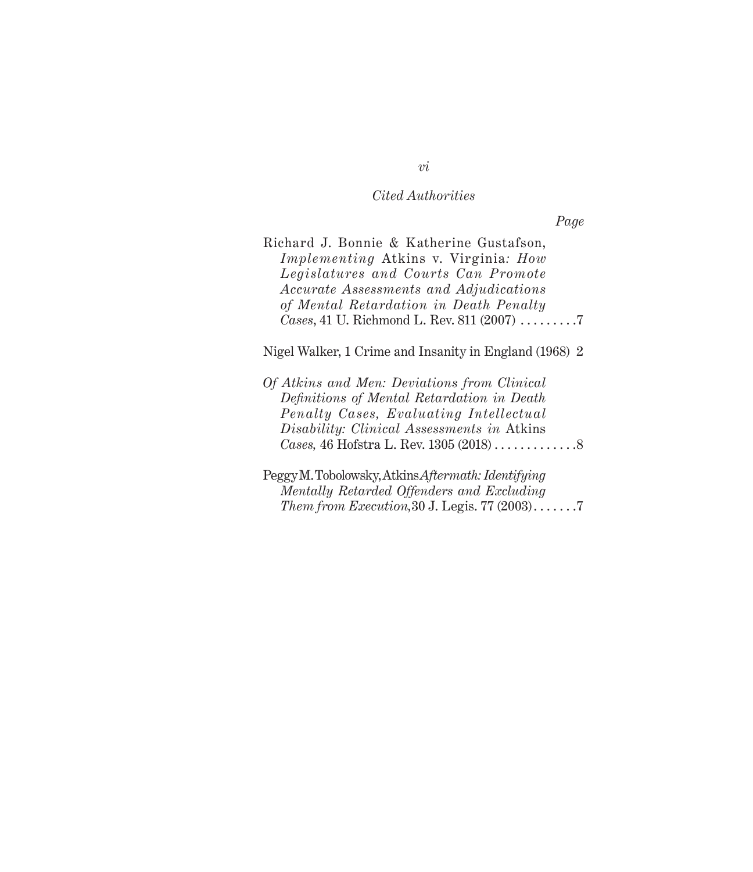*Page*

| Richard J. Bonnie & Katherine Gustafson,    |  |
|---------------------------------------------|--|
| <i>Implementing</i> Atkins v. Virginia: How |  |
| Legislatures and Courts Can Promote         |  |
| Accurate Assessments and Adjudications      |  |
| of Mental Retardation in Death Penalty      |  |
| Cases, 41 U. Richmond L. Rev. 811 (2007) 7  |  |

Nigel Walker, 1 Crime and Insanity in England (1968) 2

| Of Atkins and Men: Deviations from Clinical |  |
|---------------------------------------------|--|
| Definitions of Mental Retardation in Death  |  |
| Penalty Cases, Evaluating Intellectual      |  |
| Disability: Clinical Assessments in Atkins  |  |
|                                             |  |
|                                             |  |

Peggy M. Tobolowsky, Atkins *Aftermath: Identifying Mentally Retarded Offenders and Excluding Them from Execution*, 30 J. Legis. 77 (2003).......7

*vi*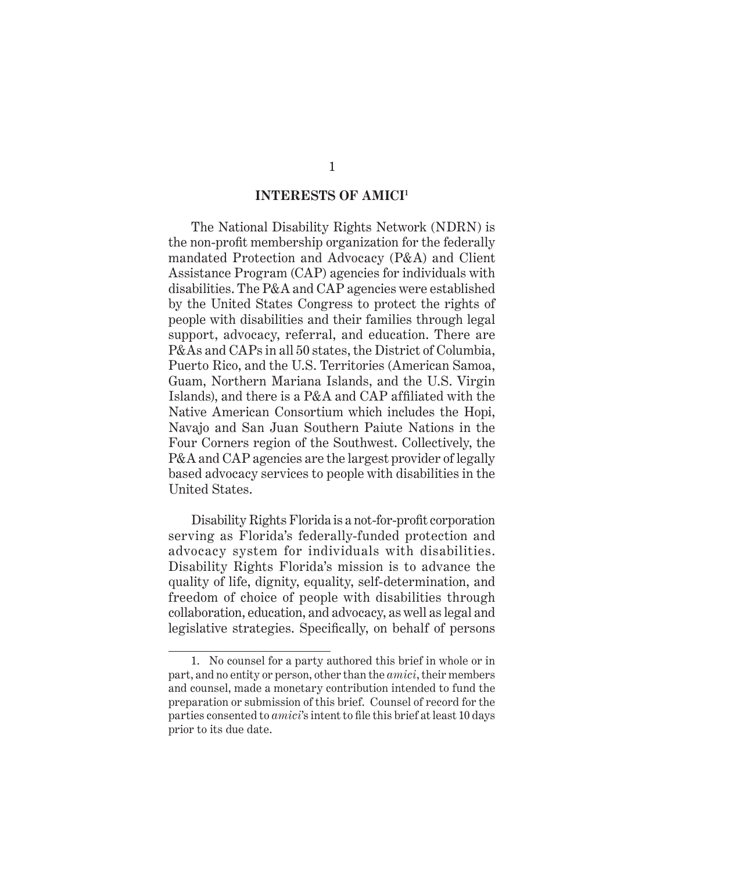### **INTERESTS OF AMICI1**

The National Disability Rights Network (NDRN) is the non-profit membership organization for the federally mandated Protection and Advocacy (P&A) and Client Assistance Program (CAP) agencies for individuals with disabilities. The P&A and CAP agencies were established by the United States Congress to protect the rights of people with disabilities and their families through legal support, advocacy, referral, and education. There are P&As and CAPs in all 50 states, the District of Columbia, Puerto Rico, and the U.S. Territories (American Samoa, Guam, Northern Mariana Islands, and the U.S. Virgin Islands), and there is a P&A and CAP affiliated with the Native American Consortium which includes the Hopi, Navajo and San Juan Southern Paiute Nations in the Four Corners region of the Southwest. Collectively, the P&A and CAP agencies are the largest provider of legally based advocacy services to people with disabilities in the United States.

Disability Rights Florida is a not-for-profit corporation serving as Florida's federally-funded protection and advocacy system for individuals with disabilities. Disability Rights Florida's mission is to advance the quality of life, dignity, equality, self-determination, and freedom of choice of people with disabilities through collaboration, education, and advocacy, as well as legal and legislative strategies. Specifically, on behalf of persons

<sup>1.</sup> No counsel for a party authored this brief in whole or in part, and no entity or person, other than the *amici*, their members and counsel, made a monetary contribution intended to fund the preparation or submission of this brief. Counsel of record for the parties consented to *amici*'s intent to file this brief at least 10 days prior to its due date.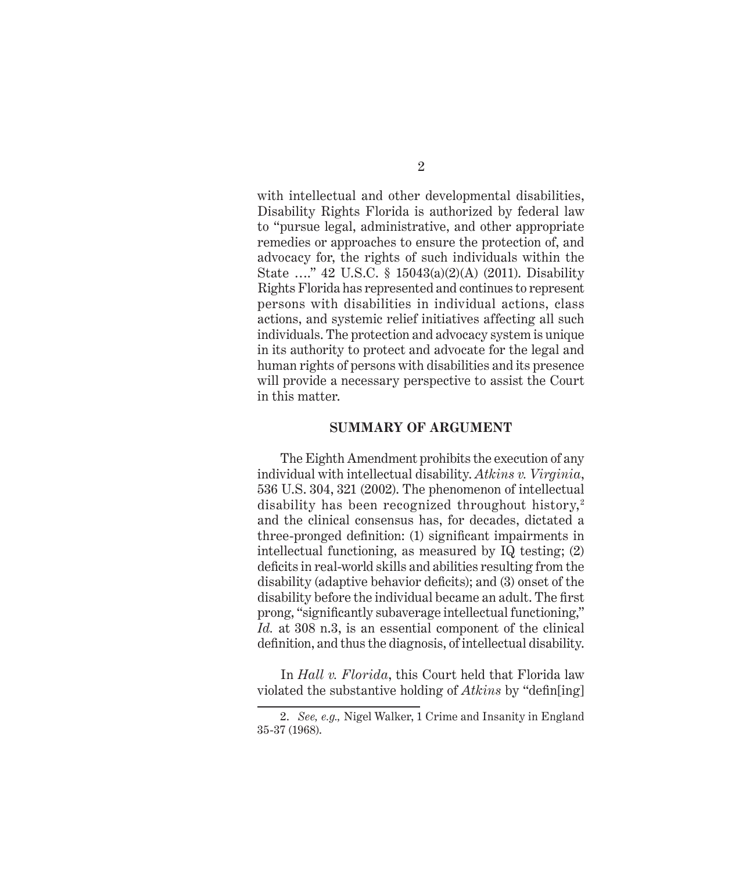with intellectual and other developmental disabilities, Disability Rights Florida is authorized by federal law to "pursue legal, administrative, and other appropriate remedies or approaches to ensure the protection of, and advocacy for, the rights of such individuals within the State …." 42 U.S.C. § 15043(a)(2)(A) (2011). Disability Rights Florida has represented and continues to represent persons with disabilities in individual actions, class actions, and systemic relief initiatives affecting all such individuals. The protection and advocacy system is unique in its authority to protect and advocate for the legal and human rights of persons with disabilities and its presence will provide a necessary perspective to assist the Court in this matter.

#### **SUMMARY OF ARGUMENT**

The Eighth Amendment prohibits the execution of any individual with intellectual disability. *Atkins v. Virginia*, 536 U.S. 304, 321 (2002). The phenomenon of intellectual disability has been recognized throughout history,<sup>2</sup> and the clinical consensus has, for decades, dictated a three-pronged definition: (1) significant impairments in intellectual functioning, as measured by IQ testing; (2) deficits in real-world skills and abilities resulting from the disability (adaptive behavior deficits); and (3) onset of the disability before the individual became an adult. The first prong, "significantly subaverage intellectual functioning," *Id.* at 308 n.3, is an essential component of the clinical definition, and thus the diagnosis, of intellectual disability.

In *Hall v. Florida*, this Court held that Florida law violated the substantive holding of *Atkins* by "defin[ing]

<sup>2.</sup> *See, e.g.,* Nigel Walker, 1 Crime and Insanity in England 35-37 (1968).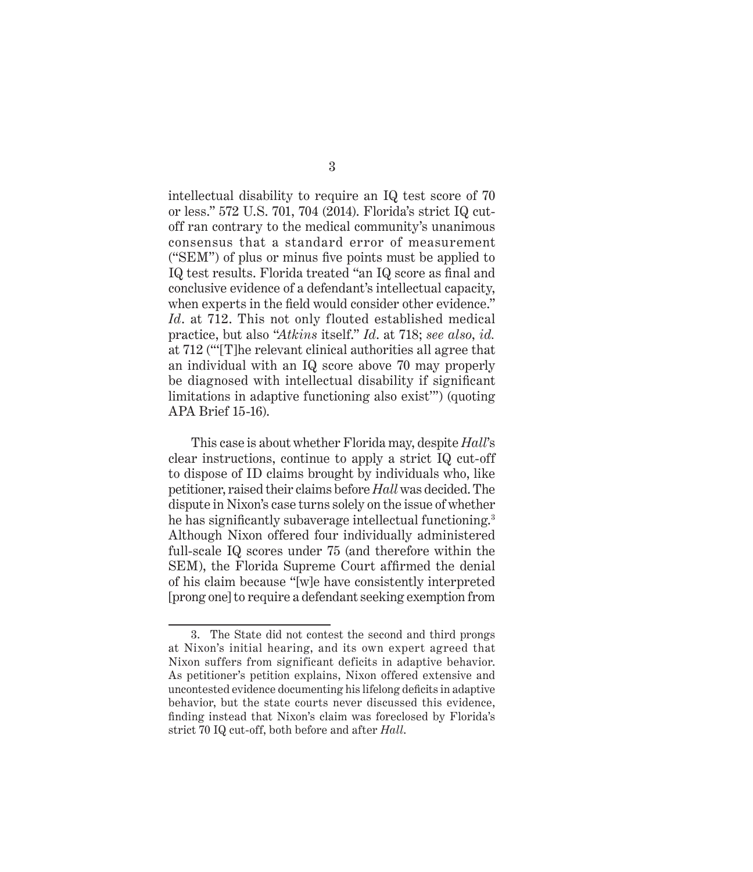intellectual disability to require an IQ test score of 70 or less." 572 U.S. 701, 704 (2014). Florida's strict IQ cutoff ran contrary to the medical community's unanimous consensus that a standard error of measurement ("SEM") of plus or minus five points must be applied to IQ test results. Florida treated "an IQ score as final and conclusive evidence of a defendant's intellectual capacity, when experts in the field would consider other evidence." *Id*. at 712. This not only flouted established medical practice, but also "*Atkins* itself." *Id*. at 718; *see also*, *id.* at 712 ("'[T]he relevant clinical authorities all agree that an individual with an IQ score above 70 may properly be diagnosed with intellectual disability if significant limitations in adaptive functioning also exist'") (quoting APA Brief 15-16).

This case is about whether Florida may, despite *Hall*'s clear instructions, continue to apply a strict IQ cut-off to dispose of ID claims brought by individuals who, like petitioner, raised their claims before *Hall* was decided. The dispute in Nixon's case turns solely on the issue of whether he has significantly subaverage intellectual functioning.<sup>3</sup> Although Nixon offered four individually administered full-scale IQ scores under 75 (and therefore within the SEM), the Florida Supreme Court affirmed the denial of his claim because "[w]e have consistently interpreted [prong one] to require a defendant seeking exemption from

<sup>3.</sup> The State did not contest the second and third prongs at Nixon's initial hearing, and its own expert agreed that Nixon suffers from significant deficits in adaptive behavior. As petitioner's petition explains, Nixon offered extensive and uncontested evidence documenting his lifelong deficits in adaptive behavior, but the state courts never discussed this evidence, finding instead that Nixon's claim was foreclosed by Florida's strict 70 IQ cut-off, both before and after *Hall*.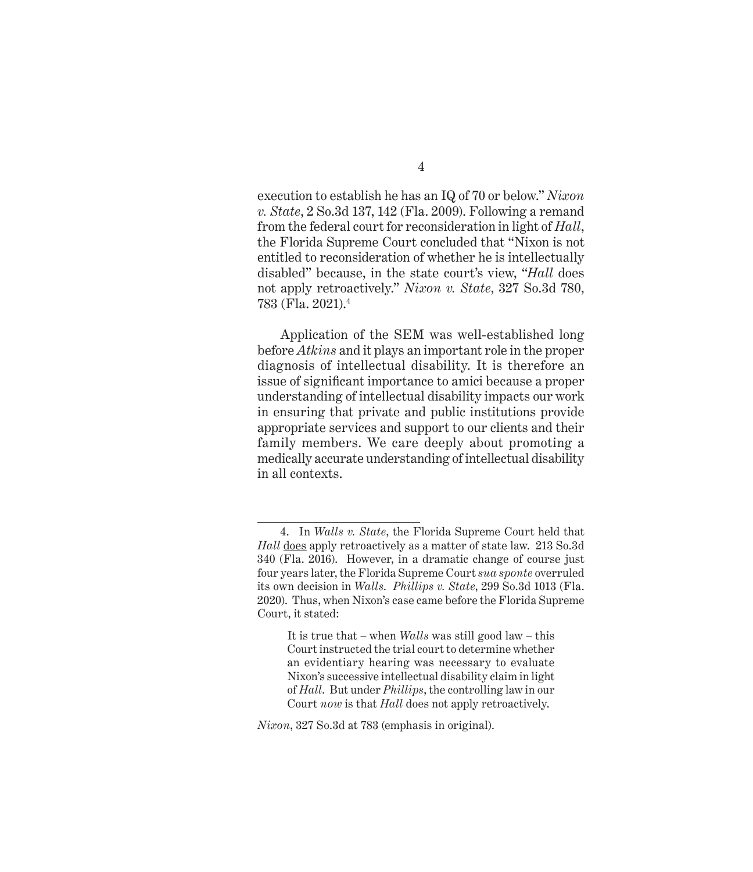execution to establish he has an IQ of 70 or below." *Nixon v. State*, 2 So.3d 137, 142 (Fla. 2009). Following a remand from the federal court for reconsideration in light of *Hall*, the Florida Supreme Court concluded that "Nixon is not entitled to reconsideration of whether he is intellectually disabled" because, in the state court's view, "*Hall* does not apply retroactively." *Nixon v. State*, 327 So.3d 780, 783 (Fla. 2021).4

Application of the SEM was well-established long before *Atkins* and it plays an important role in the proper diagnosis of intellectual disability. It is therefore an issue of significant importance to amici because a proper understanding of intellectual disability impacts our work in ensuring that private and public institutions provide appropriate services and support to our clients and their family members. We care deeply about promoting a medically accurate understanding of intellectual disability in all contexts.

<sup>4.</sup> In *Walls v. State*, the Florida Supreme Court held that *Hall* does apply retroactively as a matter of state law. 213 So.3d 340 (Fla. 2016). However, in a dramatic change of course just four years later, the Florida Supreme Court *sua sponte* overruled its own decision in *Walls*. *Phillips v. State*, 299 So.3d 1013 (Fla. 2020). Thus, when Nixon's case came before the Florida Supreme Court, it stated:

It is true that – when *Walls* was still good law – this Court instructed the trial court to determine whether an evidentiary hearing was necessary to evaluate Nixon's successive intellectual disability claim in light of *Hall*. But under *Phillips*, the controlling law in our Court *now* is that *Hall* does not apply retroactively.

*Nixon*, 327 So.3d at 783 (emphasis in original).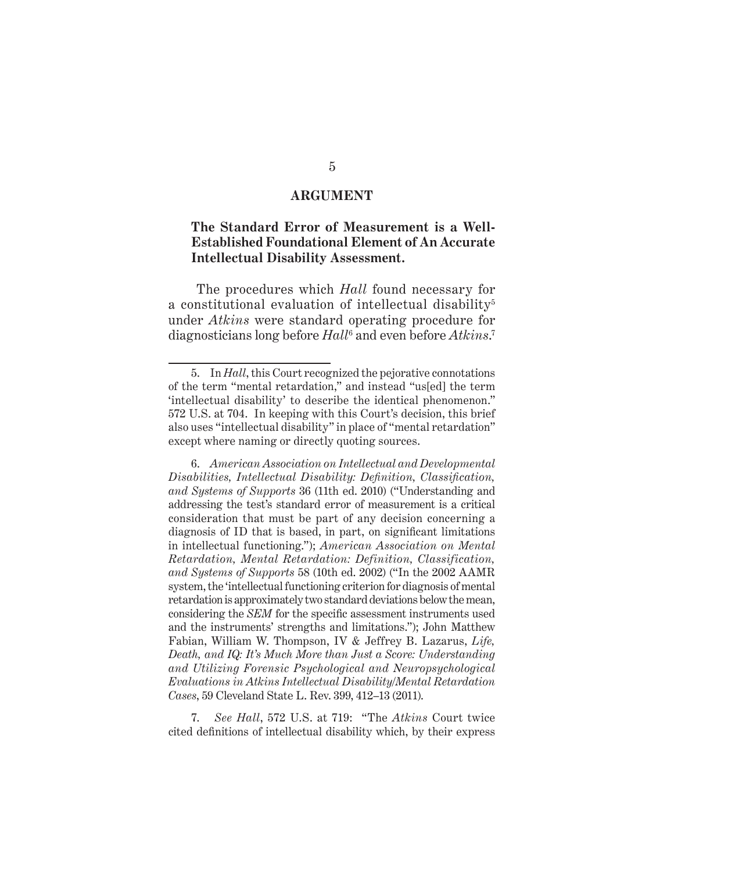#### **ARGUMENT**

### **The Standard Error of Measurement is a Well-Established Foundational Element of An Accurate Intellectual Disability Assessment.**

 The procedures which *Hall* found necessary for a constitutional evaluation of intellectual disability<sup>5</sup> under *Atkins* were standard operating procedure for diagnosticians long before *Hall*<sup>6</sup> and even before *Atkins*. 7

<sup>5.</sup> In *Hall*, this Court recognized the pejorative connotations of the term "mental retardation," and instead "us[ed] the term 'intellectual disability' to describe the identical phenomenon." 572 U.S. at 704. In keeping with this Court's decision, this brief also uses "intellectual disability" in place of "mental retardation" except where naming or directly quoting sources.

<sup>6.</sup> *American Association on Intellectual and Developmental Disabilities, Intellectual Disability: Definition, Classification, and Systems of Supports* 36 (11th ed. 2010) ("Understanding and addressing the test's standard error of measurement is a critical consideration that must be part of any decision concerning a diagnosis of ID that is based, in part, on significant limitations in intellectual functioning."); *American Association on Mental Retardation, Mental Retardation: Definition, Classification, and Systems of Supports* 58 (10th ed. 2002) ("In the 2002 AAMR system, the 'intellectual functioning criterion for diagnosis of mental retardation is approximately two standard deviations below the mean, considering the *SEM* for the specific assessment instruments used and the instruments' strengths and limitations."); John Matthew Fabian, William W. Thompson, IV & Jeffrey B. Lazarus, *Life, Death, and IQ: It's Much More than Just a Score: Understanding and Utilizing Forensic Psychological and Neuropsychological Evaluations in Atkins Intellectual Disability/Mental Retardation Cases*, 59 Cleveland State L. Rev. 399, 412–13 (2011).

<sup>7.</sup> *See Hall*, 572 U.S. at 719: "The *Atkins* Court twice cited definitions of intellectual disability which, by their express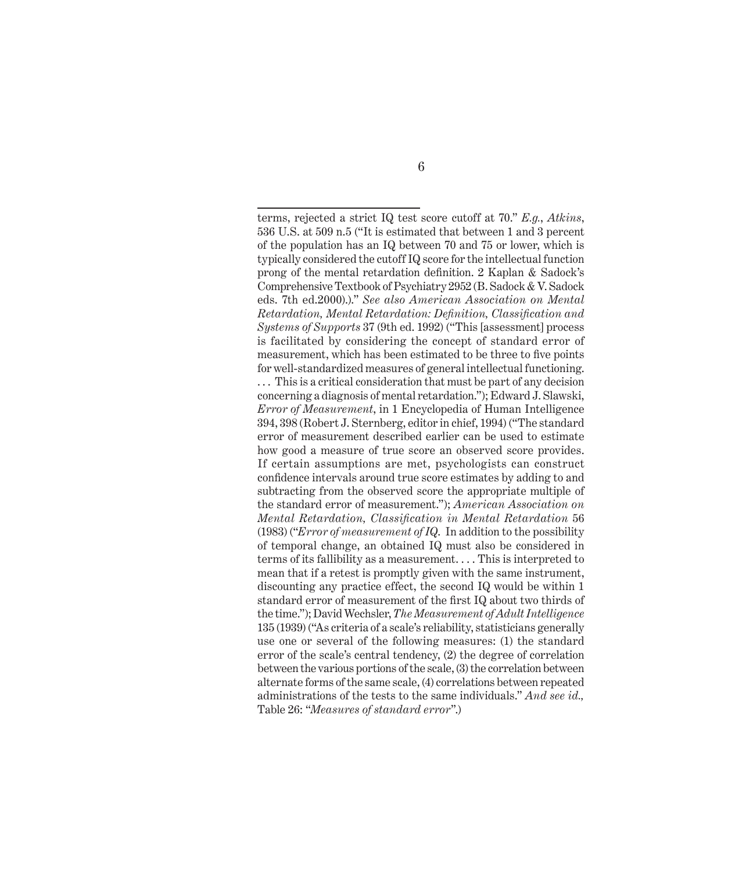terms, rejected a strict IQ test score cutoff at 70." *E.g.*, *Atkins*, 536 U.S. at 509 n.5 ("It is estimated that between 1 and 3 percent of the population has an IQ between 70 and 75 or lower, which is typically considered the cutoff IQ score for the intellectual function prong of the mental retardation definition. 2 Kaplan & Sadock's Comprehensive Textbook of Psychiatry 2952 (B. Sadock & V. Sadock eds. 7th ed.2000).)." *See also American Association on Mental Retardation, Mental Retardation: Definition, Classification and Systems of Supports* 37 (9th ed. 1992) ("This [assessment] process is facilitated by considering the concept of standard error of measurement, which has been estimated to be three to five points for well-standardized measures of general intellectual functioning. ... This is a critical consideration that must be part of any decision concerning a diagnosis of mental retardation."); Edward J. Slawski, *Error of Measurement*, in 1 Encyclopedia of Human Intelligence 394, 398 (Robert J. Sternberg, editor in chief, 1994) ("The standard error of measurement described earlier can be used to estimate how good a measure of true score an observed score provides. If certain assumptions are met, psychologists can construct confidence intervals around true score estimates by adding to and subtracting from the observed score the appropriate multiple of the standard error of measurement."); *American Association on Mental Retardation, Classification in Mental Retardation* 56 (1983) ("*Error of measurement of IQ*. In addition to the possibility of temporal change, an obtained IQ must also be considered in terms of its fallibility as a measurement. . . . This is interpreted to mean that if a retest is promptly given with the same instrument, discounting any practice effect, the second IQ would be within 1 standard error of measurement of the first IQ about two thirds of the time."); David Wechsler, *The Measurement of Adult Intelligence* 135 (1939) ("As criteria of a scale's reliability, statisticians generally use one or several of the following measures: (1) the standard error of the scale's central tendency, (2) the degree of correlation between the various portions of the scale, (3) the correlation between alternate forms of the same scale, (4) correlations between repeated administrations of the tests to the same individuals." *And see id.,*  Table 26: "*Measures of standard error*".)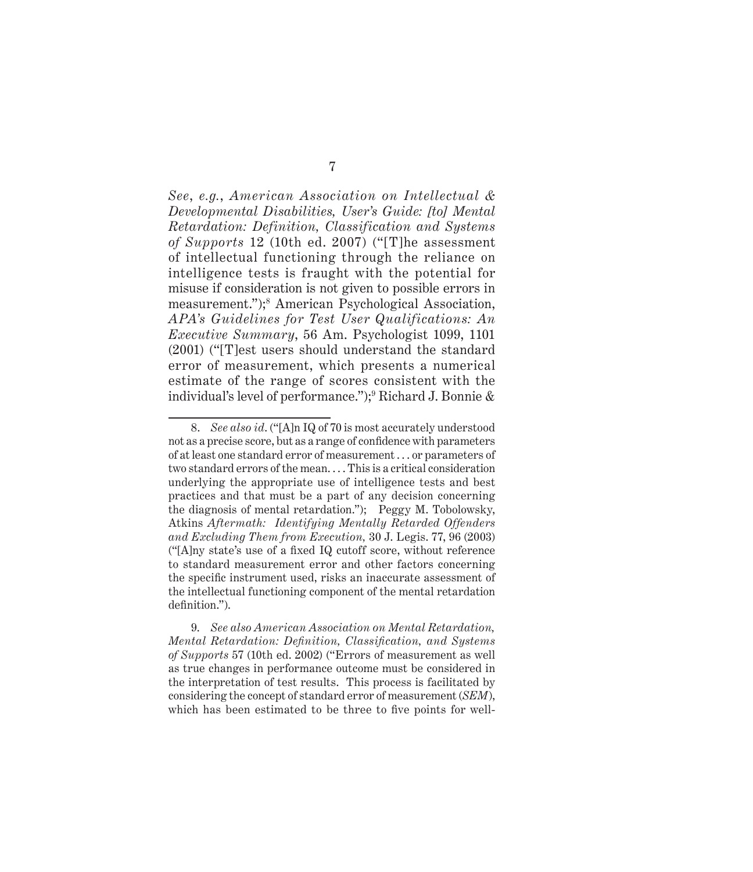*See*, *e.g.*, *American Association on Intellectual & Developmental Disabilities, User's Guide: [to] Mental Retardation: Definition, Classification and Systems of Supports* 12 (10th ed. 2007) ("[T]he assessment of intellectual functioning through the reliance on intelligence tests is fraught with the potential for misuse if consideration is not given to possible errors in measurement.");<sup>8</sup> American Psychological Association, *APA's Guidelines for Test User Qualifications: An Executive Summary*, 56 Am. Psychologist 1099, 1101 (2001) ("[T]est users should understand the standard error of measurement, which presents a numerical estimate of the range of scores consistent with the individual's level of performance.");9 Richard J. Bonnie &

9. *See also American Association on Mental Retardation, Mental Retardation: Definition, Classification, and Systems of Supports* 57 (10th ed. 2002) ("Errors of measurement as well as true changes in performance outcome must be considered in the interpretation of test results. This process is facilitated by considering the concept of standard error of measurement (*SEM*), which has been estimated to be three to five points for well-

<sup>8.</sup> *See also id*. ("[A]n IQ of 70 is most accurately understood not as a precise score, but as a range of confidence with parameters of at least one standard error of measurement . . . or parameters of two standard errors of the mean. . . . This is a critical consideration underlying the appropriate use of intelligence tests and best practices and that must be a part of any decision concerning the diagnosis of mental retardation."); Peggy M. Tobolowsky, Atkins *Aftermath: Identifying Mentally Retarded Offenders and Excluding Them from Execution,* 30 J. Legis. 77, 96 (2003) ("[A]ny state's use of a fixed IQ cutoff score, without reference to standard measurement error and other factors concerning the specific instrument used, risks an inaccurate assessment of the intellectual functioning component of the mental retardation definition.").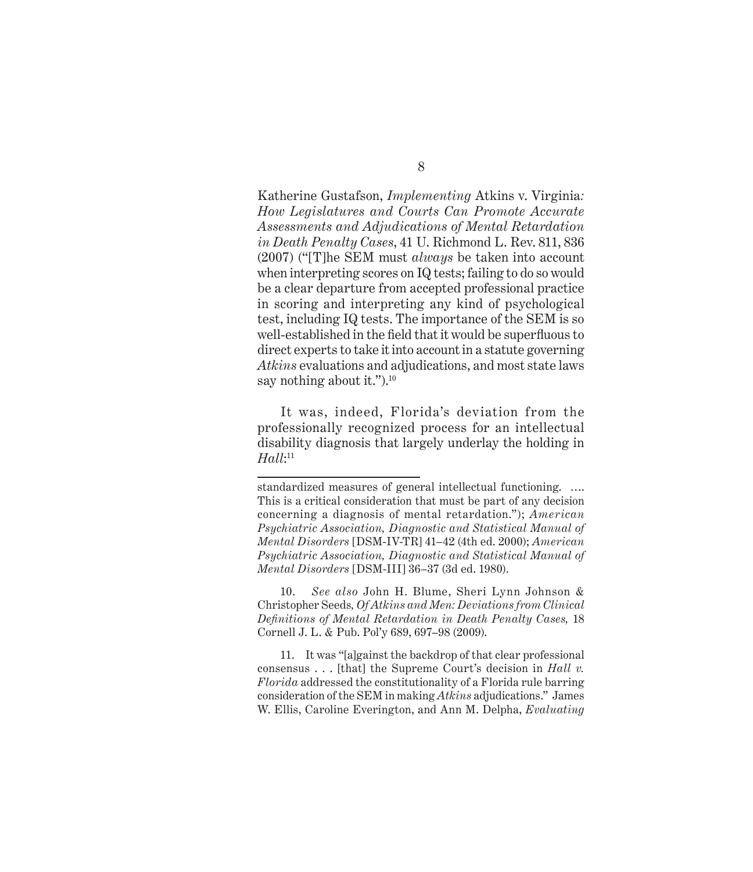Katherine Gustafson, *Implementing* Atkins v. Virginia*: How Legislatures and Courts Can Promote Accurate Assessments and Adjudications of Mental Retardation in Death Penalty Cases*, 41 U. Richmond L. Rev. 811, 836 (2007) ("[T]he SEM must *always* be taken into account when interpreting scores on IQ tests; failing to do so would be a clear departure from accepted professional practice in scoring and interpreting any kind of psychological test, including IQ tests. The importance of the SEM is so well-established in the field that it would be superfluous to direct experts to take it into account in a statute governing *Atkins* evaluations and adjudications, and most state laws say nothing about it.").<sup>10</sup>

It was, indeed, Florida's deviation from the professionally recognized process for an intellectual disability diagnosis that largely underlay the holding in *Hall*: 11

standardized measures of general intellectual functioning. …. This is a critical consideration that must be part of any decision concerning a diagnosis of mental retardation."); *American Psychiatric Association, Diagnostic and Statistical Manual of Mental Disorders* [DSM-IV-TR] 41–42 (4th ed. 2000); *American Psychiatric Association, Diagnostic and Statistical Manual of Mental Disorders* [DSM-III] 36–37 (3d ed. 1980).

<sup>10.</sup> *See also* John H. Blume, Sheri Lynn Johnson & Christopher Seeds*, Of Atkins and Men: Deviations from Clinical Definitions of Mental Retardation in Death Penalty Cases,* 18 Cornell J. L. & Pub. Pol'y 689, 697–98 (2009).

<sup>11.</sup> It was "[a]gainst the backdrop of that clear professional consensus . . . [that] the Supreme Court's decision in *Hall v. Florida* addressed the constitutionality of a Florida rule barring consideration of the SEM in making *Atkins* adjudications." James W. Ellis, Caroline Everington, and Ann M. Delpha, *Evaluating*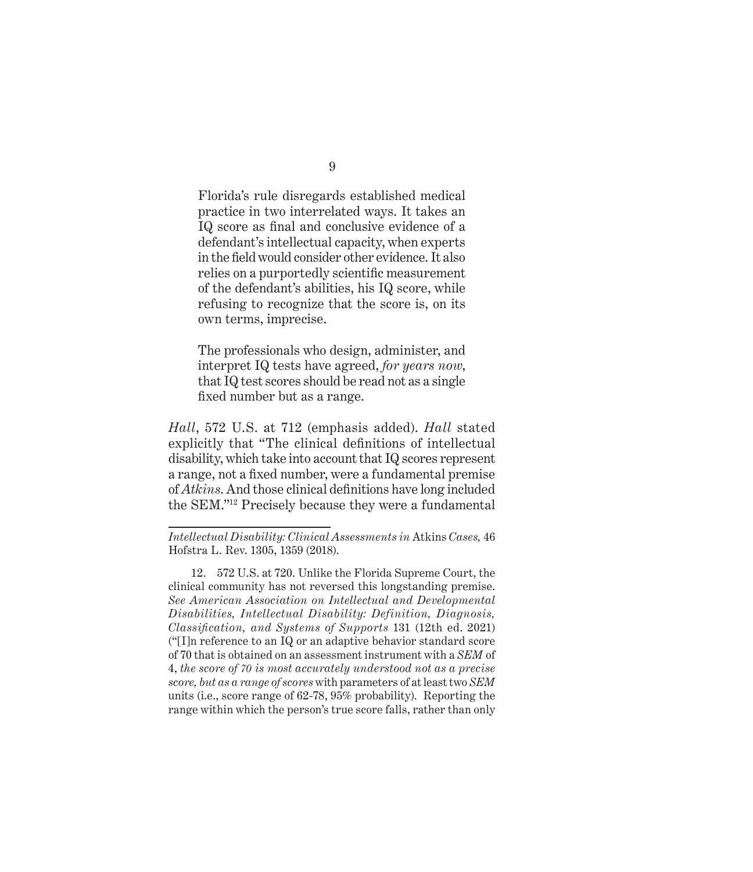Florida's rule disregards established medical practice in two interrelated ways. It takes an IQ score as final and conclusive evidence of a defendant's intellectual capacity, when experts in the field would consider other evidence. It also relies on a purportedly scientific measurement of the defendant's abilities, his IQ score, while refusing to recognize that the score is, on its own terms, imprecise.

The professionals who design, administer, and interpret IQ tests have agreed, *for years now*, that IQ test scores should be read not as a single fixed number but as a range.

*Hall*, 572 U.S. at 712 (emphasis added). *Hall* stated explicitly that "The clinical definitions of intellectual disability, which take into account that IQ scores represent a range, not a fixed number, were a fundamental premise of *Atkins*. And those clinical definitions have long included the SEM."12 Precisely because they were a fundamental

12. 572 U.S. at 720. Unlike the Florida Supreme Court, the clinical community has not reversed this longstanding premise. *See American Association on Intellectual and Developmental Disabilities, Intellectual Disability: Definition, Diagnosis, Classification, and Systems of Supports* 131 (12th ed. 2021) ("[I]n reference to an IQ or an adaptive behavior standard score of 70 that is obtained on an assessment instrument with a *SEM* of 4, *the score of 70 is most accurately understood not as a precise score, but as a range of scores* with parameters of at least two *SEM* units (i.e., score range of 62-78, 95% probability). Reporting the range within which the person's true score falls, rather than only

*Intellectual Disability: Clinical Assessments in* Atkins *Cases,* 46 Hofstra L. Rev. 1305, 1359 (2018).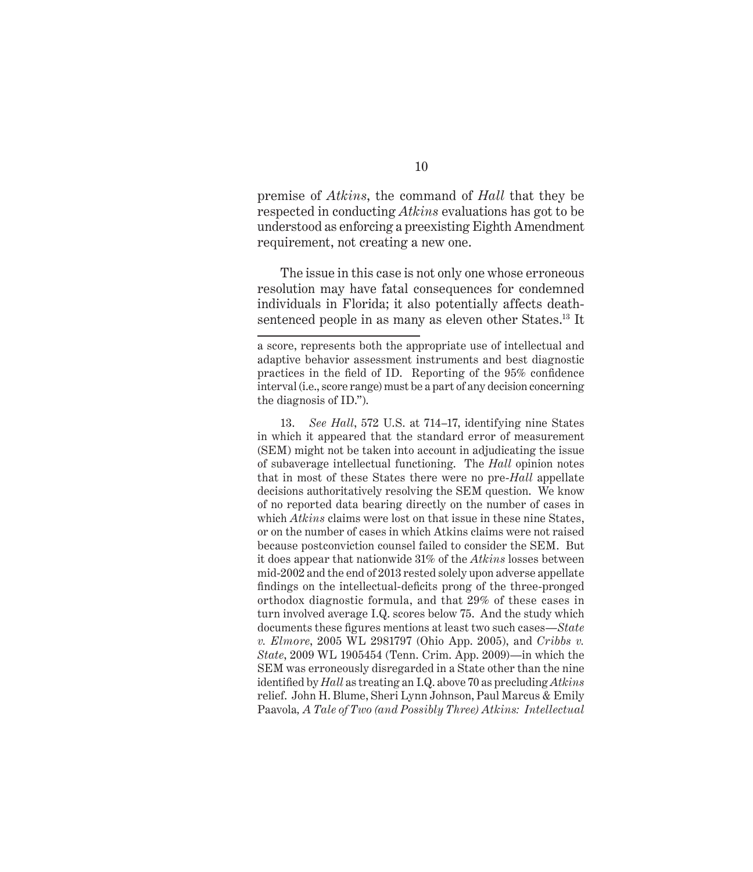premise of *Atkins*, the command of *Hall* that they be respected in conducting *Atkins* evaluations has got to be understood as enforcing a preexisting Eighth Amendment requirement, not creating a new one.

The issue in this case is not only one whose erroneous resolution may have fatal consequences for condemned individuals in Florida; it also potentially affects deathsentenced people in as many as eleven other States.<sup>13</sup> It

13. *See Hall*, 572 U.S. at 714–17, identifying nine States in which it appeared that the standard error of measurement (SEM) might not be taken into account in adjudicating the issue of subaverage intellectual functioning. The *Hall* opinion notes that in most of these States there were no pre-*Hall* appellate decisions authoritatively resolving the SEM question. We know of no reported data bearing directly on the number of cases in which *Atkins* claims were lost on that issue in these nine States, or on the number of cases in which Atkins claims were not raised because postconviction counsel failed to consider the SEM. But it does appear that nationwide 31% of the *Atkins* losses between mid-2002 and the end of 2013 rested solely upon adverse appellate findings on the intellectual-deficits prong of the three-pronged orthodox diagnostic formula, and that 29% of these cases in turn involved average I.Q. scores below 75. And the study which documents these figures mentions at least two such cases—*State v. Elmore*, 2005 WL 2981797 (Ohio App. 2005), and *Cribbs v. State*, 2009 WL 1905454 (Tenn. Crim. App. 2009)—in which the SEM was erroneously disregarded in a State other than the nine identified by *Hall* as treating an I.Q. above 70 as precluding *Atkins* relief. John H. Blume, Sheri Lynn Johnson, Paul Marcus & Emily Paavola*, A Tale of Two (and Possibly Three) Atkins: Intellectual* 

a score, represents both the appropriate use of intellectual and adaptive behavior assessment instruments and best diagnostic practices in the field of ID. Reporting of the 95% confidence interval (i.e., score range) must be a part of any decision concerning the diagnosis of ID.").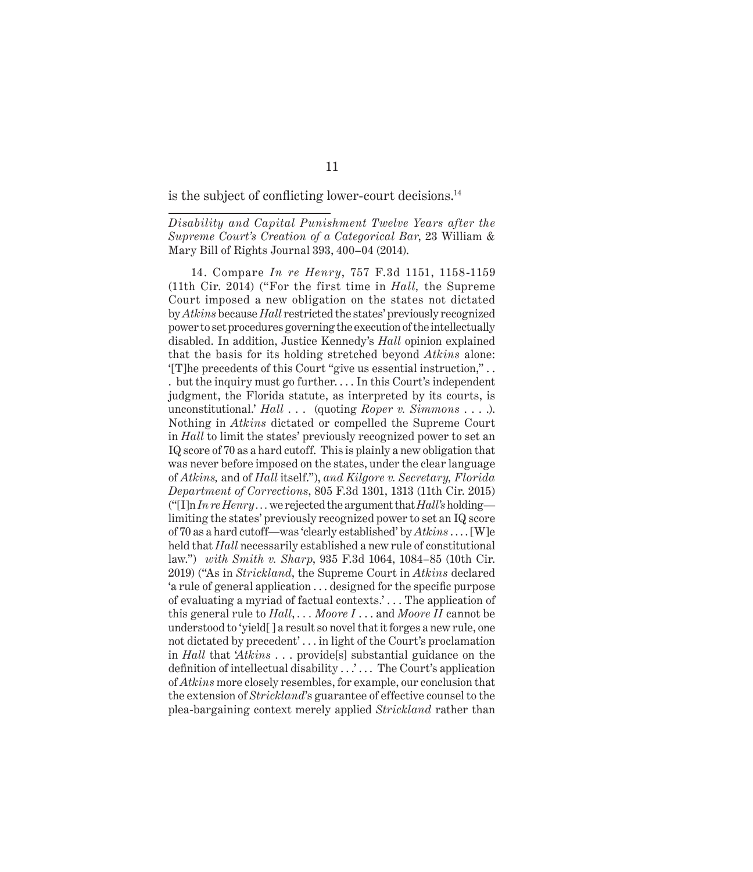is the subject of conflicting lower-court decisions.<sup>14</sup>

*Disability and Capital Punishment Twelve Years after the Supreme Court's Creation of a Categorical Bar*, 23 William & Mary Bill of Rights Journal 393, 400–04 (2014).

14. Compare *In re Henry*, 757 F.3d 1151, 1158-1159 (11th Cir. 2014) ("For the first time in *Hall,* the Supreme Court imposed a new obligation on the states not dictated by *Atkins* because *Hall* restricted the states' previously recognized power to set procedures governing the execution of the intellectually disabled. In addition, Justice Kennedy's *Hall* opinion explained that the basis for its holding stretched beyond *Atkins* alone: '[T]he precedents of this Court "give us essential instruction," . . . but the inquiry must go further. . . . In this Court's independent judgment, the Florida statute, as interpreted by its courts, is unconstitutional.' *Hall* . . . (quoting *Roper v. Simmons* . . . .). Nothing in *Atkins* dictated or compelled the Supreme Court in *Hall* to limit the states' previously recognized power to set an IQ score of 70 as a hard cutoff. This is plainly a new obligation that was never before imposed on the states, under the clear language of *Atkins,* and of *Hall* itself."), *and Kilgore v. Secretary, Florida Department of Corrections*, 805 F.3d 1301, 1313 (11th Cir. 2015)  $("I]n In rel, we we reject the argument that Hall's holding$ limiting the states' previously recognized power to set an IQ score of 70 as a hard cutoff—was 'clearly established' by *Atkins* . . . . [W]e held that *Hall* necessarily established a new rule of constitutional law.") *with Smith v. Sharp*, 935 F.3d 1064, 1084–85 (10th Cir. 2019) ("As in *Strickland*, the Supreme Court in *Atkins* declared 'a rule of general application . . . designed for the specific purpose of evaluating a myriad of factual contexts.' . . . The application of this general rule to *Hall*, *. . . Moore I* . . . and *Moore II* cannot be understood to 'yield[ ] a result so novel that it forges a new rule, one not dictated by precedent' . . . in light of the Court's proclamation in *Hall* that '*Atkins* . . . provide[s] substantial guidance on the definition of intellectual disability  $\dots$  ... The Court's application of *Atkins* more closely resembles, for example, our conclusion that the extension of *Strickland*'s guarantee of effective counsel to the plea-bargaining context merely applied *Strickland* rather than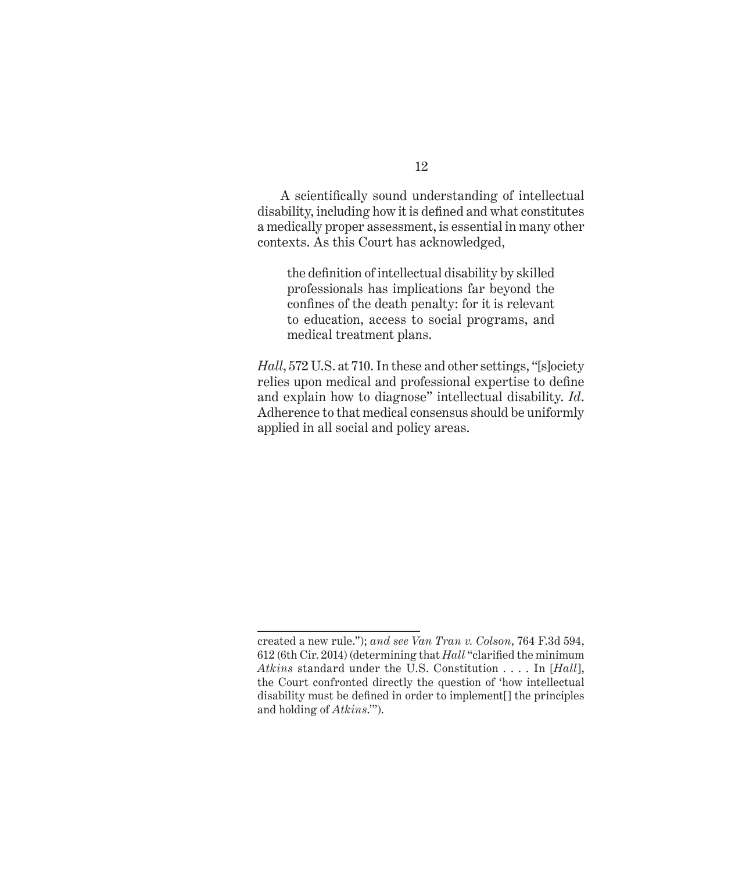A scientifically sound understanding of intellectual disability, including how it is defined and what constitutes a medically proper assessment, is essential in many other contexts. As this Court has acknowledged,

the definition of intellectual disability by skilled professionals has implications far beyond the confines of the death penalty: for it is relevant to education, access to social programs, and medical treatment plans.

*Hall*, 572 U.S. at 710. In these and other settings, "[s]ociety relies upon medical and professional expertise to define and explain how to diagnose" intellectual disability. *Id*. Adherence to that medical consensus should be uniformly applied in all social and policy areas.

created a new rule."); *and see Van Tran v. Colson*, 764 F.3d 594, 612 (6th Cir. 2014) (determining that *Hall* "clarified the minimum *Atkins* standard under the U.S. Constitution . . . . In [*Hall*], the Court confronted directly the question of 'how intellectual disability must be defined in order to implement[] the principles and holding of *Atkins*.'").